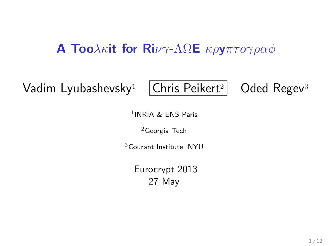#### **A Too**λκit for Ri $\nu\gamma$ -ΛΩΕ κρyπτογραφ

Vadim Lyubashevsky<sup>1</sup>  $|Chris$  Peikert<sup>2</sup> Oded Regev<sup>3</sup>

1 INRIA & ENS Paris

 $2G$ eorgia Tech

<sup>3</sup>Courant Institute, NYU

Eurocrypt 2013 27 May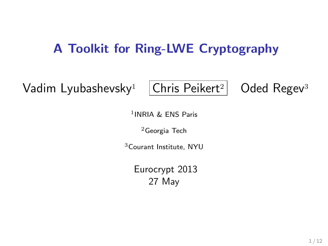### A Toolkit for Ring-LWE Cryptography

Vadim Lyubashevsky<sup>1</sup>  $|Chris$  Peikert<sup>2</sup> Oded Regev<sup>3</sup>

1 INRIA & ENS Paris

 $2G$ eorgia Tech

<sup>3</sup>Courant Institute, NYU

Eurocrypt 2013 27 May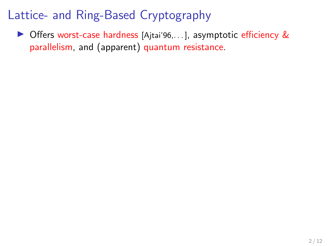▶ Offers worst-case hardness [Ajtai'96, ... ], asymptotic efficiency & parallelism, and (apparent) quantum resistance.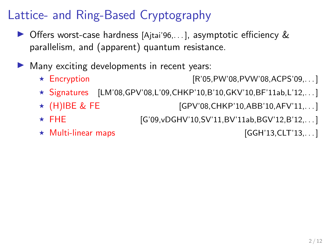- $\triangleright$  Offers worst-case hardness [Ajtai'96,...], asymptotic efficiency  $\&$ parallelism, and (apparent) quantum resistance.
- $\blacktriangleright$  Many exciting developments in recent years:
	- $\star$  Encryption [R'05,PW'08,PVW'08,ACPS'09,...]
	- $\star$  Signatures [LM'08,GPV'08,L'09,CHKP'10,B'10,GKV'10,BF'11ab,L'12,...]
	- ★ (H)IBE & FE [GPV'08,CHKP'10,ABB'10,AFV'11,...]
	- ★ FHE [G'09,vDGHV'10,SV'11,BV'11ab,BGV'12,B'12,...
	- $\star$  Multi-linear maps  $\star$  Section 13, CLT'13, ... ]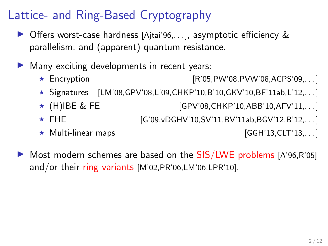- $\triangleright$  Offers worst-case hardness [Ajtai'96,...], asymptotic efficiency  $\&$ parallelism, and (apparent) quantum resistance.
- $\blacktriangleright$  Many exciting developments in recent years:
	- ★ Encryption [R'05,PW'08,PVW'08,ACPS'09,. . . ]
	- ★ Signatures  $[LM'08,GPV'08, L'09, CHKP'10, B'10, GKV'10, BF'11ab, L'12,...]$
	- $\star$  (H)IBE & FE [GPV'08,CHKP'10,ABB'10,AFV'11,...]
	- ★ FHE [G'09,vDGHV'10,SV'11,BV'11ab,BGV'12,B'12,...
	- $\star$  Multi-linear maps  $\star$  (GGH'13,CLT'13,...)

 $\triangleright$  Most modern schemes are based on the SIS/LWE problems [A'96,R'05] and/or their ring variants [M'02,PR'06,LM'06,LPR'10].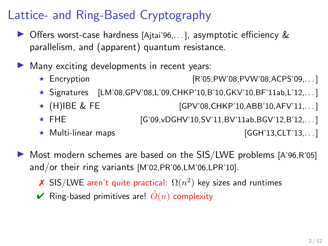- $\triangleright$  Offers worst-case hardness [Ajtai'96,...], asymptotic efficiency  $\&$ parallelism, and (apparent) quantum resistance.
- $\blacktriangleright$  Many exciting developments in recent years:
	- ★ Encryption [R'05,PW'08,PVW'08,ACPS'09,. . . ]
	- ★ Signatures  $[LM'08,GPV'08, L'09, CHKP'10, B'10, GKV'10, BF'11ab, L'12,...]$
	- $\star$  (H)IBE & FE [GPV'08,CHKP'10,ABB'10,AFV'11,...]
	- ★ FHE [G'09,vDGHV'10,SV'11,BV'11ab,BGV'12,B'12,...
	- $\star$  Multi-linear maps  $[GGH'13,CLT'13,...]$

- $\triangleright$  Most modern schemes are based on the SIS/LWE problems [A'96,R'05] and/or their ring variants [M'02,PR'06,LM'06,LPR'10].
	- X SIS/LWE aren't quite practical:  $\Omega(n^2)$  key sizes and runtimes
	- $\vee$  Ring-based primitives are!  $\tilde{O}(n)$  complexity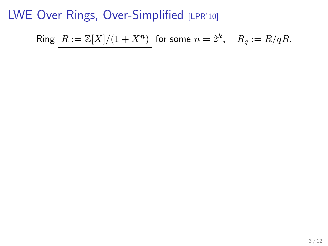$$
\mathsf{Ring}\left[R:=\mathbb{Z}[X]/(1+X^n)\right]\text{ for some }n=2^k,\quad R_q:=R/qR.
$$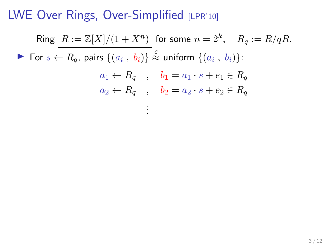$\mathsf{Ring} \,\big|\, R := \mathbb{Z}[X]/(1+X^n) \,\big|$  for some  $n = 2^k, \quad R_q := R/qR.$ For  $s \leftarrow R_q$ , pairs  $\{(a_i, b_i)\} \stackrel{c}{\approx}$  uniform  $\{(a_i, b_i)\}$ :  $a_1 \leftarrow R_q$ ,  $b_1 = a_1 \cdot s + e_1 \in R_q$  $a_2 \leftarrow R_q$ ,  $b_2 = a_2 \cdot s + e_2 \in R_q$ . . .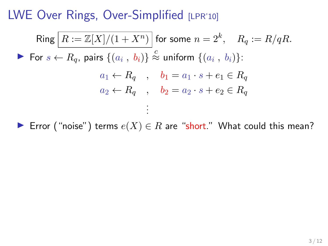$\mathsf{Ring} \,\big|\, R := \mathbb{Z}[X]/(1+X^n) \,\big|$  for some  $n = 2^k, \quad R_q := R/qR.$ For  $s \leftarrow R_q$ , pairs  $\{(a_i, b_i)\} \stackrel{c}{\approx}$  uniform  $\{(a_i, b_i)\}$ :  $a_1 \leftarrow R_q$ ,  $b_1 = a_1 \cdot s + e_1 \in R_q$  $a_2 \leftarrow R_q$ ,  $b_2 = a_2 \cdot s + e_2 \in R_q$ . . .

► Error ("noise") terms  $e(X) \in R$  are "short." What could this mean?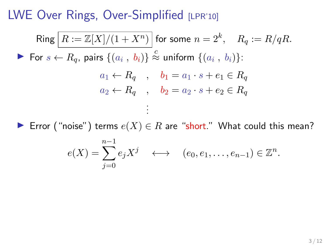$\mathsf{Ring} \,\big|\, R := \mathbb{Z}[X]/(1+X^n) \,\big|$  for some  $n = 2^k, \quad R_q := R/qR.$ For  $s \leftarrow R_q$ , pairs  $\{(a_i, b_i)\} \stackrel{c}{\approx}$  uniform  $\{(a_i, b_i)\}$ :  $a_1 \leftarrow R_q$ ,  $b_1 = a_1 \cdot s + e_1 \in R_q$  $a_2 \leftarrow R_q$ ,  $b_2 = a_2 \cdot s + e_2 \in R_q$ . . .

► Error ("noise") terms  $e(X) \in R$  are "short." What could this mean?

$$
e(X) = \sum_{j=0}^{n-1} e_j X^j \quad \longleftrightarrow \quad (e_0, e_1, \dots, e_{n-1}) \in \mathbb{Z}^n.
$$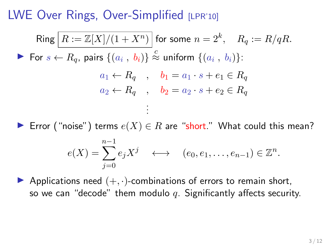$\mathsf{Ring} \,\big|\, R := \mathbb{Z}[X]/(1+X^n) \,\big|$  for some  $n = 2^k, \quad R_q := R/qR.$ For  $s \leftarrow R_q$ , pairs  $\{(a_i, b_i)\} \stackrel{c}{\approx}$  uniform  $\{(a_i, b_i)\}$ :  $a_1 \leftarrow R_q$ ,  $b_1 = a_1 \cdot s + e_1 \in R_q$  $a_2 \leftarrow R_q$ ,  $b_2 = a_2 \cdot s + e_2 \in R_q$ . . .

► Error ("noise") terms  $e(X) \in R$  are "short." What could this mean?

$$
e(X) = \sum_{j=0}^{n-1} e_j X^j \quad \longleftrightarrow \quad (e_0, e_1, \dots, e_{n-1}) \in \mathbb{Z}^n.
$$

Applications need  $(+, \cdot)$ -combinations of errors to remain short, so we can "decode" them modulo q. Significantly affects security.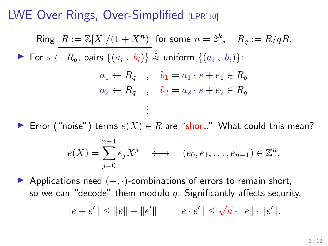$\mathsf{Ring} \,\big|\, R := \mathbb{Z}[X]/(1+X^n) \,\big|$  for some  $n = 2^k, \quad R_q := R/qR.$ For  $s \leftarrow R_q$ , pairs  $\{(a_i, b_i)\} \stackrel{c}{\approx}$  uniform  $\{(a_i, b_i)\}$ :  $a_1 \leftarrow R_q$ ,  $b_1 = a_1 \cdot s + e_1 \in R_q$  $a_2 \leftarrow R_q$ ,  $b_2 = a_2 \cdot s + e_2 \in R_q$ . . .

► Error ("noise") terms  $e(X) \in R$  are "short." What could this mean?

$$
e(X) = \sum_{j=0}^{n-1} e_j X^j \quad \longleftrightarrow \quad (e_0, e_1, \dots, e_{n-1}) \in \mathbb{Z}^n.
$$

Applications need  $(+, \cdot)$ -combinations of errors to remain short, so we can "decode" them modulo q. Significantly affects security.

$$
\|e + e'\| \le \|e\| + \|e'\| \qquad \|e \cdot e'\| \le \sqrt{n} \cdot \|e\| \cdot \|e'\|.
$$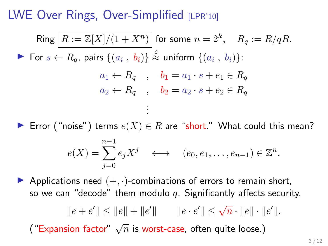$\mathsf{Ring} \,\big|\, R := \mathbb{Z}[X]/(1+X^n) \,\big|$  for some  $n = 2^k, \quad R_q := R/qR.$ For  $s \leftarrow R_q$ , pairs  $\{(a_i, b_i)\} \stackrel{c}{\approx}$  uniform  $\{(a_i, b_i)\}$ :  $a_1 \leftarrow R_q$ ,  $b_1 = a_1 \cdot s + e_1 \in R_q$  $a_2 \leftarrow R_q$ ,  $b_2 = a_2 \cdot s + e_2 \in R_q$ . . .

► Error ("noise") terms  $e(X) \in R$  are "short." What could this mean?

$$
e(X) = \sum_{j=0}^{n-1} e_j X^j \quad \longleftrightarrow \quad (e_0, e_1, \dots, e_{n-1}) \in \mathbb{Z}^n.
$$

Applications need  $(+, \cdot)$ -combinations of errors to remain short, so we can "decode" them modulo q. Significantly affects security.

$$
||e + e'|| \le ||e|| + ||e'|| \qquad ||e \cdot e'|| \le \sqrt{n} \cdot ||e|| \cdot ||e'||.
$$

("Expansion factor"  $\sqrt{n}$  is worst-case, often quite loose.)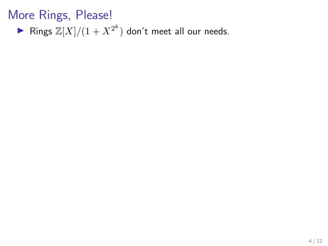▶ Rings  $\mathbb{Z}[X]/(1+X^{2^k})$  don't meet all our needs.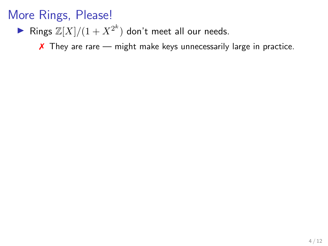▶ Rings  $\mathbb{Z}[X]/(1+X^{2^k})$  don't meet all our needs.

 $\boldsymbol{\chi}$  They are rare — might make keys unnecessarily large in practice.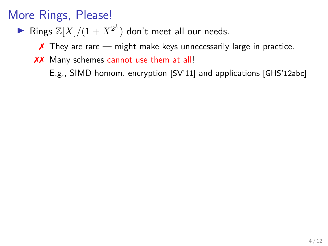▶ Rings  $\mathbb{Z}[X]/(1+X^{2^k})$  don't meet all our needs.

 $\chi$  They are rare — might make keys unnecessarily large in practice.

XX Many schemes cannot use them at all!

E.g., SIMD homom. encryption [SV'11] and applications [GHS'12abc]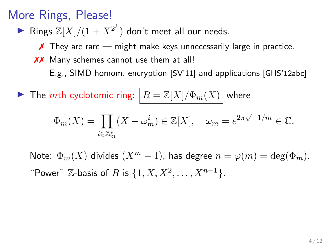▶ Rings  $\mathbb{Z}[X]/(1+X^{2^k})$  don't meet all our needs.

 $\chi$  They are rare — might make keys unnecessarily large in practice.

XX Many schemes cannot use them at all!

E.g., SIMD homom. encryption [SV'11] and applications [GHS'12abc]

**IF The mth cyclotomic ring:**  $|R = \mathbb{Z}[X]/\Phi_m(X)|$  where

$$
\Phi_m(X) = \prod_{i \in \mathbb{Z}_m^*} (X - \omega_m^i) \in \mathbb{Z}[X], \quad \omega_m = e^{2\pi\sqrt{-1}/m} \in \mathbb{C}.
$$

Note:  $\Phi_m(X)$  divides  $(X^m - 1)$ , has degree  $n = \varphi(m) = \deg(\Phi_m)$ . "Power"  $\mathbb{Z}$ -basis of R is  $\{1, X, X^2, ..., X^{n-1}\}.$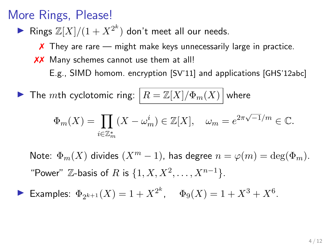▶ Rings  $\mathbb{Z}[X]/(1+X^{2^k})$  don't meet all our needs.

 $\chi$  They are rare — might make keys unnecessarily large in practice.

XX Many schemes cannot use them at all!

E.g., SIMD homom. encryption [SV'11] and applications [GHS'12abc]

**IF The mth cyclotomic ring:**  $|R = \mathbb{Z}[X]/\Phi_m(X)|$  where

$$
\Phi_m(X) = \prod_{i \in \mathbb{Z}_m^*} (X - \omega_m^i) \in \mathbb{Z}[X], \quad \omega_m = e^{2\pi\sqrt{-1}/m} \in \mathbb{C}.
$$

Note:  $\Phi_m(X)$  divides  $(X^m - 1)$ , has degree  $n = \varphi(m) = \deg(\Phi_m)$ . "Power"  $\mathbb{Z}$ -basis of R is  $\{1, X, X^2, ..., X^{n-1}\}.$ 

Examples:  $\Phi_{2^{k+1}}(X) = 1 + X^{2^k}$ ,  $\Phi_9(X) = 1 + X^3 + X^6$ .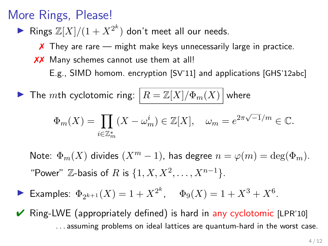▶ Rings  $\mathbb{Z}[X]/(1+X^{2^k})$  don't meet all our needs.

 $\chi$  They are rare — might make keys unnecessarily large in practice.

XX Many schemes cannot use them at all!

E.g., SIMD homom. encryption [SV'11] and applications [GHS'12abc]

$$
\blacktriangleright \text{ The } m\text{th cyclotomic ring: } \boxed{R = \mathbb{Z}[X]/\Phi_m(X)}
$$
 where

$$
\Phi_m(X) = \prod_{i \in \mathbb{Z}_m^*} (X - \omega_m^i) \in \mathbb{Z}[X], \quad \omega_m = e^{2\pi\sqrt{-1}/m} \in \mathbb{C}.
$$

Note:  $\Phi_m(X)$  divides  $(X^m - 1)$ , has degree  $n = \varphi(m) = \deg(\Phi_m)$ . "Power"  $\mathbb{Z}$ -basis of R is  $\{1, X, X^2, ..., X^{n-1}\}.$ 

- Examples:  $\Phi_{2^{k+1}}(X) = 1 + X^{2^k}$ ,  $\Phi_9(X) = 1 + X^3 + X^6$ .
- $\vee$  Ring-LWE (appropriately defined) is hard in any cyclotomic [LPR'10] . . . assuming problems on ideal lattices are quantum-hard in the worst case.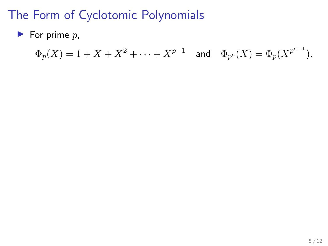$\blacktriangleright$  For prime  $p$ ,

$$
\Phi_p(X) = 1 + X + X^2 + \dots + X^{p-1}
$$
 and  $\Phi_{p^e}(X) = \Phi_p(X^{p^{e-1}})$ .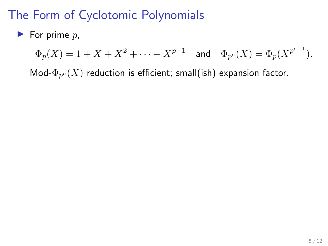$\blacktriangleright$  For prime p,

 $\Phi_p(X) = 1 + X + X^2 + \cdots + X^{p-1}$  and  $\Phi_{p^e}(X) = \Phi_p(X^{p^{e-1}})$ .

Mod- $\Phi_{p^e}(X)$  reduction is efficient; small(ish) expansion factor.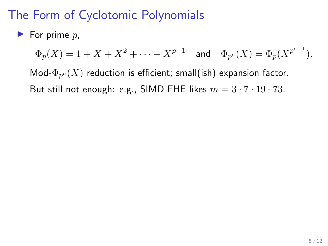#### $\blacktriangleright$  For prime p,

 $\Phi_p(X) = 1 + X + X^2 + \cdots + X^{p-1}$  and  $\Phi_{p^e}(X) = \Phi_p(X^{p^{e-1}})$ .

Mod- $\Phi_{p^e}(X)$  reduction is efficient; small(ish) expansion factor. But still not enough: e.g., SIMD FHE likes  $m = 3 \cdot 7 \cdot 19 \cdot 73$ .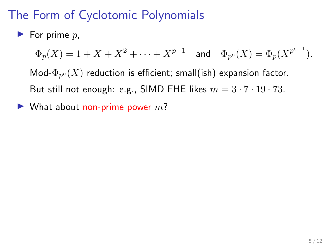#### $\blacktriangleright$  For prime p,

 $\Phi_p(X) = 1 + X + X^2 + \cdots + X^{p-1}$  and  $\Phi_{p^e}(X) = \Phi_p(X^{p^{e-1}})$ .

Mod- $\Phi_{p^e}(X)$  reduction is efficient; small(ish) expansion factor. But still not enough: e.g., SIMD FHE likes  $m = 3 \cdot 7 \cdot 19 \cdot 73$ .

 $\blacktriangleright$  What about non-prime power m?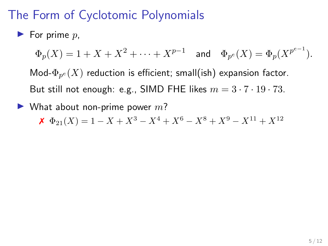#### $\blacktriangleright$  For prime p,

 $\Phi_p(X) = 1 + X + X^2 + \cdots + X^{p-1}$  and  $\Phi_{p^e}(X) = \Phi_p(X^{p^{e-1}})$ . Mod- $\Phi_{p^e}(X)$  reduction is efficient; small(ish) expansion factor. But still not enough: e.g., SIMD FHE likes  $m = 3 \cdot 7 \cdot 19 \cdot 73$ .

 $\blacktriangleright$  What about non-prime power m?

 $\mathbf{X} \Phi_{21}(X) = 1 - X + X^3 - X^4 + X^6 - X^8 + X^9 - X^{11} + X^{12}$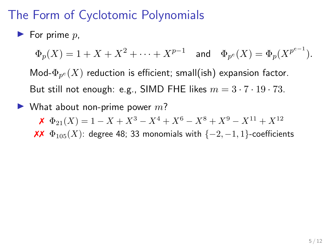#### $\blacktriangleright$  For prime p,

 $\Phi_p(X) = 1 + X + X^2 + \cdots + X^{p-1}$  and  $\Phi_{p^e}(X) = \Phi_p(X^{p^{e-1}})$ .

Mod- $\Phi_{p^e}(X)$  reduction is efficient; small(ish) expansion factor. But still not enough: e.g., SIMD FHE likes  $m = 3 \cdot 7 \cdot 19 \cdot 73$ .

 $\blacktriangleright$  What about non-prime power m?

 $\mathbf{X} \Phi_{21}(X) = 1 - X + X^3 - X^4 + X^6 - X^8 + X^9 - X^{11} + X^{12}$ 

XX  $\Phi_{105}(X)$ : degree 48; 33 monomials with {-2, -1, 1}-coefficients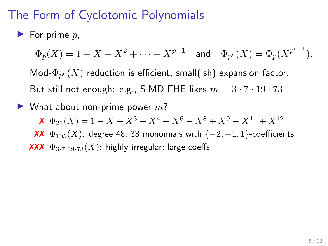#### $\blacktriangleright$  For prime p,

 $\Phi_p(X) = 1 + X + X^2 + \cdots + X^{p-1}$  and  $\Phi_{p^e}(X) = \Phi_p(X^{p^{e-1}})$ .

Mod- $\Phi_{p^e}(X)$  reduction is efficient; small(ish) expansion factor. But still not enough: e.g., SIMD FHE likes  $m = 3 \cdot 7 \cdot 19 \cdot 73$ .

 $\blacktriangleright$  What about non-prime power m?

 $\mathbf{X} \Phi_{21}(X) = 1 - X + X^3 - X^4 + X^6 - X^8 + X^9 - X^{11} + X^{12}$ 

XX  $\Phi_{105}(X)$ : degree 48; 33 monomials with {-2, -1, 1}-coefficients  $\chi\chi\chi \Phi_{3.7.19.73}(X)$ : highly irregular; large coeffs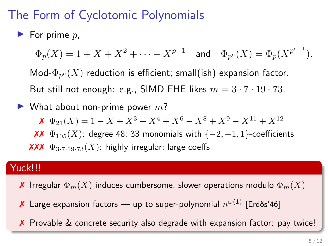#### $\blacktriangleright$  For prime p,

 $\Phi_p(X) = 1 + X + X^2 + \cdots + X^{p-1}$  and  $\Phi_{p^e}(X) = \Phi_p(X^{p^{e-1}})$ .

Mod- $\Phi_{p^e}(X)$  reduction is efficient; small(ish) expansion factor. But still not enough: e.g., SIMD FHE likes  $m = 3 \cdot 7 \cdot 19 \cdot 73$ .

 $\blacktriangleright$  What about non-prime power m?

 $\mathbf{X} \Phi_{21}(X) = 1 - X + X^3 - X^4 + X^6 - X^8 + X^9 - X^{11} + X^{12}$ 

XX  $\Phi_{105}(X)$ : degree 48; 33 monomials with {-2, -1, 1}-coefficients **XXX**  $\Phi_{3.7.19.73}(X)$ : highly irregular; large coeffs

#### Yuck!!!

- **X** Irregular  $\Phi_m(X)$  induces cumbersome, slower operations modulo  $\Phi_m(X)$
- $\boldsymbol{\mathsf{X}}$  Large expansion factors up to super-polynomial  $n^{\omega(1)}$  [Erdős'46]
- X Provable & concrete security also degrade with expansion factor: pay twice!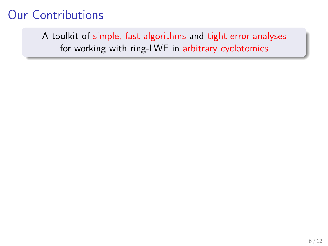A toolkit of simple, fast algorithms and tight error analyses for working with ring-LWE in arbitrary cyclotomics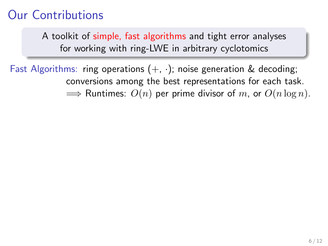A toolkit of simple, fast algorithms and tight error analyses for working with ring-LWE in arbitrary cyclotomics

Fast Algorithms: ring operations  $(+, \cdot)$ ; noise generation & decoding; conversions among the best representations for each task.  $\implies$  Runtimes:  $O(n)$  per prime divisor of m, or  $O(n \log n)$ .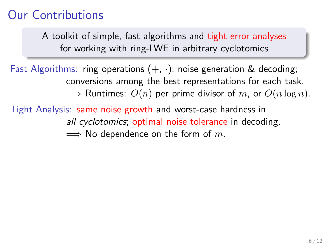A toolkit of simple, fast algorithms and tight error analyses for working with ring-LWE in arbitrary cyclotomics

Fast Algorithms: ring operations  $(+, \cdot)$ ; noise generation & decoding; conversions among the best representations for each task.  $\implies$  Runtimes:  $O(n)$  per prime divisor of m, or  $O(n \log n)$ .

Tight Analysis: same noise growth and worst-case hardness in all cyclotomics; optimal noise tolerance in decoding.  $\implies$  No dependence on the form of m.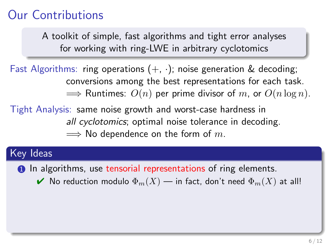A toolkit of simple, fast algorithms and tight error analyses for working with ring-LWE in arbitrary cyclotomics

Fast Algorithms: ring operations  $(+, \cdot)$ ; noise generation & decoding; conversions among the best representations for each task.  $\implies$  Runtimes:  $O(n)$  per prime divisor of m, or  $O(n \log n)$ .

Tight Analysis: same noise growth and worst-case hardness in all cyclotomics; optimal noise tolerance in decoding.  $\implies$  No dependence on the form of m.

#### Key Ideas

**1** In algorithms, use tensorial representations of ring elements.

 $\blacktriangleright$  No reduction modulo  $\Phi_m(X)$  — in fact, don't need  $\Phi_m(X)$  at all!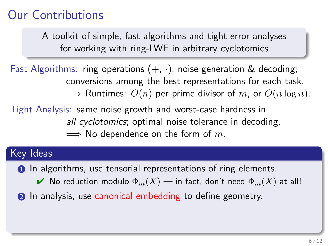A toolkit of simple, fast algorithms and tight error analyses for working with ring-LWE in arbitrary cyclotomics

Fast Algorithms: ring operations  $(+, \cdot)$ ; noise generation & decoding; conversions among the best representations for each task.  $\implies$  Runtimes:  $O(n)$  per prime divisor of m, or  $O(n \log n)$ .

Tight Analysis: same noise growth and worst-case hardness in all cyclotomics; optimal noise tolerance in decoding.  $\implies$  No dependence on the form of m.

#### Key Ideas

**1** In algorithms, use tensorial representations of ring elements.

- $\blacktriangleright$  No reduction modulo  $\Phi_m(X)$  in fact, don't need  $\Phi_m(X)$  at all!
- **2** In analysis, use canonical embedding to define geometry.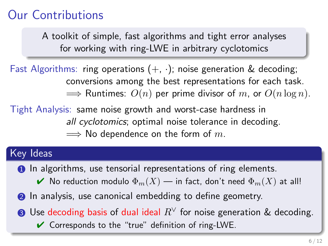A toolkit of simple, fast algorithms and tight error analyses for working with ring-LWE in arbitrary cyclotomics

Fast Algorithms: ring operations  $(+, \cdot)$ ; noise generation & decoding; conversions among the best representations for each task.  $\implies$  Runtimes:  $O(n)$  per prime divisor of m, or  $O(n \log n)$ .

Tight Analysis: same noise growth and worst-case hardness in all cyclotomics; optimal noise tolerance in decoding.  $\implies$  No dependence on the form of m.

#### Key Ideas

**1** In algorithms, use tensorial representations of ring elements.

- $\blacktriangleright$  No reduction modulo  $\Phi_m(X)$  in fact, don't need  $\Phi_m(X)$  at all!
- **2** In analysis, use canonical embedding to define geometry.
- **3** Use decoding basis of dual ideal  $R^\vee$  for noise generation & decoding.
	- $\vee$  Corresponds to the "true" definition of ring-LWE.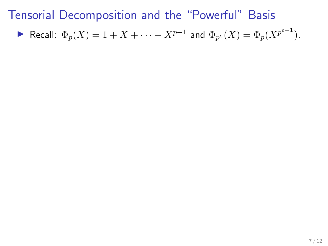$$
\blacktriangleright \text{ Recall: } \Phi_p(X) = 1 + X + \cdots + X^{p-1} \text{ and } \Phi_{p^e}(X) = \Phi_p(X^{p^{e-1}}).
$$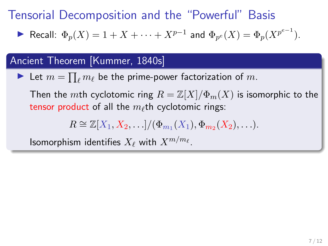$$
\blacktriangleright \text{ Recall: } \Phi_p(X) = 1 + X + \cdots + X^{p-1} \text{ and } \Phi_{p^e}(X) = \Phi_p(X^{p^{e-1}}).
$$

#### Ancient Theorem [Kummer, 1840s]

In Let  $m = \prod_{\ell} m_{\ell}$  be the prime-power factorization of  $m$ .

Then the mth cyclotomic ring  $R = \mathbb{Z}[X]/\Phi_m(X)$  is isomorphic to the tensor product of all the  $m_\ell$ th cyclotomic rings:

$$
R \cong \mathbb{Z}[X_1,X_2,\ldots]/(\Phi_{m_1}(X_1),\Phi_{m_2}(X_2),\ldots).
$$

Isomorphism identifies  $X_\ell$  with  $X^{m/m_\ell}.$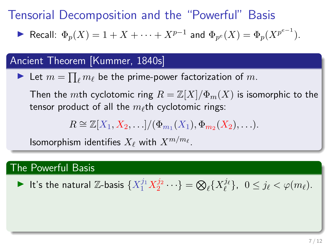$$
\blacktriangleright \text{ Recall: } \Phi_p(X) = 1 + X + \cdots + X^{p-1} \text{ and } \Phi_{p^e}(X) = \Phi_p(X^{p^{e-1}}).
$$

#### Ancient Theorem [Kummer, 1840s]

In Let  $m = \prod_{\ell} m_{\ell}$  be the prime-power factorization of  $m$ .

Then the mth cyclotomic ring  $R = \mathbb{Z}[X]/\Phi_m(X)$  is isomorphic to the tensor product of all the  $m_\ell$ th cyclotomic rings:

$$
R \cong \mathbb{Z}[X_1,X_2,\ldots]/(\Phi_{m_1}(X_1),\Phi_{m_2}(X_2),\ldots).
$$

Isomorphism identifies  $X_\ell$  with  $X^{m/m_\ell}.$ 

#### The Powerful Basis

It's the natural Z-basis  $\{X_1^{j_1}X_2^{j_2}\cdots\} = \bigotimes_\ell \{X_\ell^{j_\ell}\}, \ \ 0\leq j_\ell < \varphi(m_\ell).$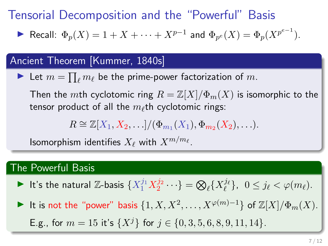$$
\blacktriangleright \text{ Recall: } \Phi_p(X) = 1 + X + \cdots + X^{p-1} \text{ and } \Phi_{p^e}(X) = \Phi_p(X^{p^{e-1}}).
$$

#### Ancient Theorem [Kummer, 1840s]

In Let  $m = \prod_{\ell} m_{\ell}$  be the prime-power factorization of  $m$ .

Then the mth cyclotomic ring  $R = \mathbb{Z}[X]/\Phi_m(X)$  is isomorphic to the tensor product of all the  $m_\ell$ th cyclotomic rings:

$$
R \cong \mathbb{Z}[X_1,X_2,\ldots]/(\Phi_{m_1}(X_1),\Phi_{m_2}(X_2),\ldots).
$$

Isomorphism identifies  $X_\ell$  with  $X^{m/m_\ell}.$ 

#### The Powerful Basis

- It's the natural Z-basis  $\{X_1^{j_1}X_2^{j_2}\cdots\} = \bigotimes_\ell \{X_\ell^{j_\ell}\}, \ \ 0\leq j_\ell < \varphi(m_\ell).$
- It is not the "power" basis  $\{1, X, X^2, \ldots, X^{\varphi(m)-1}\}$  of  $\mathbb{Z}[X]/\Phi_m(X)$ .
	- E.g., for  $m = 15$  it's  $\{X^j\}$  for  $j \in \{0, 3, 5, 6, 8, 9, 11, 14\}$ .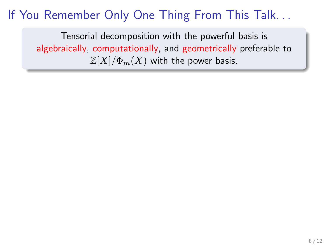Tensorial decomposition with the powerful basis is algebraically, computationally, and geometrically preferable to  $\mathbb{Z}[X]/\Phi_m(X)$  with the power basis.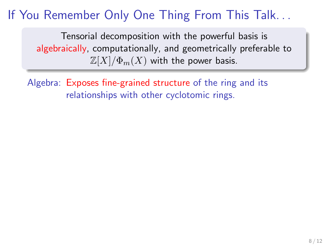Tensorial decomposition with the powerful basis is algebraically, computationally, and geometrically preferable to  $\mathbb{Z}[X]/\Phi_m(X)$  with the power basis.

Algebra: Exposes fine-grained structure of the ring and its relationships with other cyclotomic rings.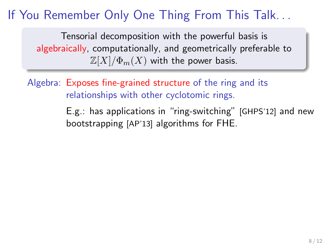Tensorial decomposition with the powerful basis is algebraically, computationally, and geometrically preferable to  $\mathbb{Z}[X]/\Phi_m(X)$  with the power basis.

Algebra: Exposes fine-grained structure of the ring and its relationships with other cyclotomic rings.

> E.g.: has applications in "ring-switching" [GHPS'12] and new bootstrapping [AP'13] algorithms for FHE.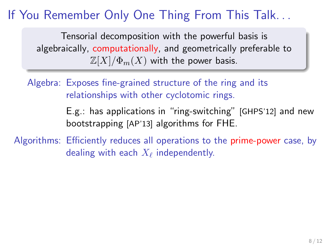Tensorial decomposition with the powerful basis is algebraically, computationally, and geometrically preferable to  $\mathbb{Z}[X]/\Phi_m(X)$  with the power basis.

Algebra: Exposes fine-grained structure of the ring and its relationships with other cyclotomic rings.

> E.g.: has applications in "ring-switching" [GHPS'12] and new bootstrapping [AP'13] algorithms for FHE.

Algorithms: Efficiently reduces all operations to the prime-power case, by dealing with each  $X_\ell$  independently.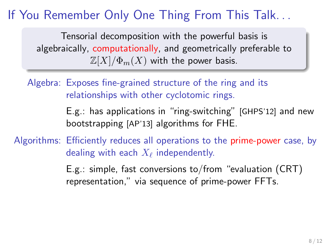Tensorial decomposition with the powerful basis is algebraically, computationally, and geometrically preferable to  $\mathbb{Z}[X]/\Phi_m(X)$  with the power basis.

Algebra: Exposes fine-grained structure of the ring and its relationships with other cyclotomic rings.

> E.g.: has applications in "ring-switching" [GHPS'12] and new bootstrapping [AP'13] algorithms for FHE.

Algorithms: Efficiently reduces all operations to the prime-power case, by dealing with each  $X_\ell$  independently.

> E.g.: simple, fast conversions to/from "evaluation (CRT) representation," via sequence of prime-power FFTs.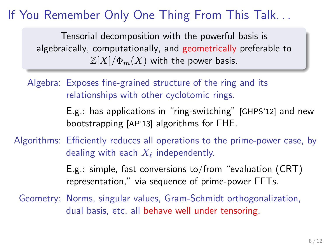Tensorial decomposition with the powerful basis is algebraically, computationally, and geometrically preferable to  $\mathbb{Z}[X]/\Phi_m(X)$  with the power basis.

Algebra: Exposes fine-grained structure of the ring and its relationships with other cyclotomic rings.

> E.g.: has applications in "ring-switching" [GHPS'12] and new bootstrapping [AP'13] algorithms for FHE.

Algorithms: Efficiently reduces all operations to the prime-power case, by dealing with each  $X_\ell$  independently.

> E.g.: simple, fast conversions to/from "evaluation (CRT) representation," via sequence of prime-power FFTs.

Geometry: Norms, singular values, Gram-Schmidt orthogonalization, dual basis, etc. all behave well under tensoring.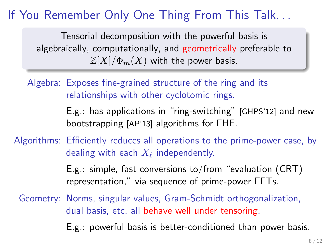Tensorial decomposition with the powerful basis is algebraically, computationally, and geometrically preferable to  $\mathbb{Z}[X]/\Phi_m(X)$  with the power basis.

Algebra: Exposes fine-grained structure of the ring and its relationships with other cyclotomic rings.

> E.g.: has applications in "ring-switching" [GHPS'12] and new bootstrapping [AP'13] algorithms for FHE.

Algorithms: Efficiently reduces all operations to the prime-power case, by dealing with each  $X_\ell$  independently.

> E.g.: simple, fast conversions to/from "evaluation (CRT) representation," via sequence of prime-power FFTs.

Geometry: Norms, singular values, Gram-Schmidt orthogonalization, dual basis, etc. all behave well under tensoring.

E.g.: powerful basis is better-conditioned than power basis.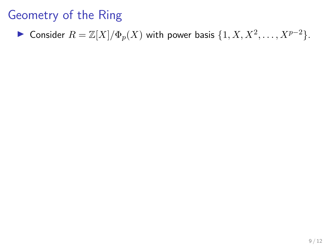Consider 
$$
R = \mathbb{Z}[X]/\Phi_p(X)
$$
 with power basis  $\{1, X, X^2, \dots, X^{p-2}\}$ .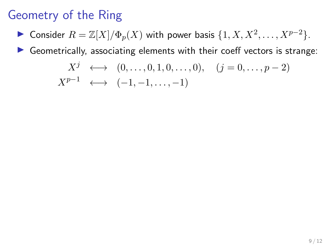► Consider  $R = \mathbb{Z}[X]/\Phi_p(X)$  with power basis  $\{1, X, X^2, \ldots, X^{p-2}\}.$ 

 $\triangleright$  Geometrically, associating elements with their coeff vectors is strange:

$$
X^j \longleftrightarrow (0, \dots, 0, 1, 0, \dots, 0), \quad (j = 0, \dots, p-2)
$$
  

$$
X^{p-1} \longleftrightarrow (-1, -1, \dots, -1)
$$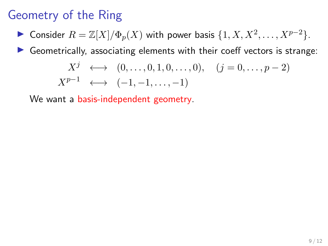► Consider  $R = \mathbb{Z}[X]/\Phi_p(X)$  with power basis  $\{1, X, X^2, \ldots, X^{p-2}\}.$ 

 $\triangleright$  Geometrically, associating elements with their coeff vectors is strange:

$$
X^{j} \longleftrightarrow (0, ..., 0, 1, 0, ..., 0), (j = 0, ..., p - 2)
$$
  

$$
X^{p-1} \longleftrightarrow (-1, -1, ..., -1)
$$

We want a basis-independent geometry.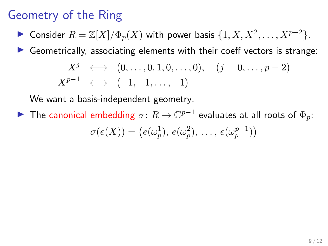► Consider  $R = \mathbb{Z}[X]/\Phi_p(X)$  with power basis  $\{1, X, X^2, \ldots, X^{p-2}\}.$ 

 $\triangleright$  Geometrically, associating elements with their coeff vectors is strange:

$$
X^{j} \longleftrightarrow (0, ..., 0, 1, 0, ..., 0), (j = 0, ..., p - 2)
$$
  

$$
X^{p-1} \longleftrightarrow (-1, -1, ..., -1)
$$

We want a basis-independent geometry.

► The canonical embedding  $\sigma\colon R\to\mathbb{C}^{p-1}$  evaluates at all roots of  $\Phi_p\colon$  $\sigma(e(X)) = (e(\omega_p^1), e(\omega_p^2), \ldots, e(\omega_p^{p-1}))$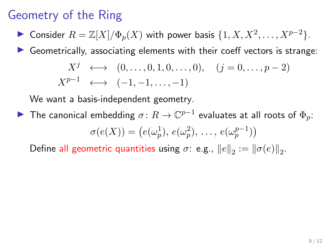► Consider  $R = \mathbb{Z}[X]/\Phi_p(X)$  with power basis  $\{1, X, X^2, \ldots, X^{p-2}\}.$ 

 $\triangleright$  Geometrically, associating elements with their coeff vectors is strange:

$$
X^{j} \longleftrightarrow (0, ..., 0, 1, 0, ..., 0), (j = 0, ..., p - 2)
$$
  

$$
X^{p-1} \longleftrightarrow (-1, -1, ..., -1)
$$

We want a basis-independent geometry.

▶ The canonical embedding  $\sigma\colon R\to\mathbb{C}^{p-1}$  evaluates at all roots of  $\Phi_p\colon$  $\sigma(e(X)) = (e(\omega_p^1), e(\omega_p^2), \ldots, e(\omega_p^{p-1}))$ 

Define all geometric quantities using  $\sigma$ : e.g.,  $||e||_2 := ||\sigma(e)||_2$ .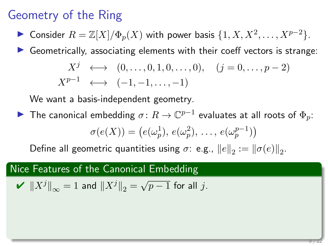► Consider  $R = \mathbb{Z}[X]/\Phi_p(X)$  with power basis  $\{1, X, X^2, \ldots, X^{p-2}\}.$ 

 $\triangleright$  Geometrically, associating elements with their coeff vectors is strange:

$$
X^{j} \longleftrightarrow (0, ..., 0, 1, 0, ..., 0), (j = 0, ..., p - 2)
$$
  

$$
X^{p-1} \longleftrightarrow (-1, -1, ..., -1)
$$

We want a basis-independent geometry.

▶ The canonical embedding  $\sigma\colon R\to\mathbb{C}^{p-1}$  evaluates at all roots of  $\Phi_p\colon$ 

$$
\sigma(e(X)) = (e(\omega_p^1), e(\omega_p^2), \ldots, e(\omega_p^{p-1}))
$$

Define all geometric quantities using  $\sigma$ : e.g.,  $||e||_2 := ||\sigma(e)||_2$ .

#### Nice Features of the Canonical Embedding

$$
\mathbf{V} \ \left\|X^j\right\|_{\infty} = 1 \text{ and } \left\|X^j\right\|_2 = \sqrt{p-1} \text{ for all } j.
$$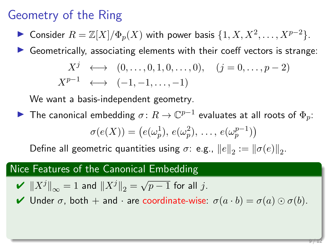► Consider  $R = \mathbb{Z}[X]/\Phi_p(X)$  with power basis  $\{1, X, X^2, \ldots, X^{p-2}\}.$ 

 $\triangleright$  Geometrically, associating elements with their coeff vectors is strange:

$$
X^{j} \longleftrightarrow (0, ..., 0, 1, 0, ..., 0), (j = 0, ..., p - 2)
$$
  

$$
X^{p-1} \longleftrightarrow (-1, -1, ..., -1)
$$

We want a basis-independent geometry.

▶ The canonical embedding  $\sigma\colon R\to\mathbb{C}^{p-1}$  evaluates at all roots of  $\Phi_p\colon$ 

$$
\sigma(e(X)) = (e(\omega_p^1), e(\omega_p^2), \ldots, e(\omega_p^{p-1}))
$$

Define all geometric quantities using  $\sigma$ : e.g.,  $||e||_2 := ||\sigma(e)||_2$ .

#### Nice Features of the Canonical Embedding

$$
\mathbf{V} \ \left\|X^j\right\|_{\infty} = 1 \text{ and } \left\|X^j\right\|_2 = \sqrt{p-1} \text{ for all } j.
$$

 $\blacktriangleright$  Under  $\sigma$ , both  $+$  and  $\cdot$  are coordinate-wise:  $\sigma(a \cdot b) = \sigma(a) \odot \sigma(b)$ .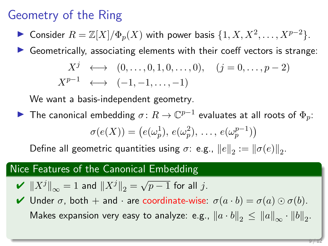► Consider  $R = \mathbb{Z}[X]/\Phi_p(X)$  with power basis  $\{1, X, X^2, \ldots, X^{p-2}\}.$ 

 $\triangleright$  Geometrically, associating elements with their coeff vectors is strange:

$$
X^{j} \longleftrightarrow (0, ..., 0, 1, 0, ..., 0), (j = 0, ..., p - 2)
$$
  

$$
X^{p-1} \longleftrightarrow (-1, -1, ..., -1)
$$

We want a basis-independent geometry.

▶ The canonical embedding  $\sigma\colon R\to\mathbb{C}^{p-1}$  evaluates at all roots of  $\Phi_p\colon$ 

$$
\sigma(e(X)) = (e(\omega_p^1), e(\omega_p^2), \ldots, e(\omega_p^{p-1}))
$$

Define all geometric quantities using  $\sigma$ : e.g.,  $||e||_2 := ||\sigma(e)||_2$ .

#### Nice Features of the Canonical Embedding

$$
\mathbf{V} \ \left\|X^j\right\|_{\infty} = 1 \text{ and } \left\|X^j\right\|_2 = \sqrt{p-1} \text{ for all } j.
$$

 $\blacktriangleright$  Under  $\sigma$ , both  $+$  and  $\cdot$  are coordinate-wise:  $\sigma(a \cdot b) = \sigma(a) \odot \sigma(b)$ . Makes expansion very easy to analyze: e.g.,  $\left\|a\cdot b\right\|_2\leq \left\|a\right\|_\infty\cdot \left\|b\right\|_2$ .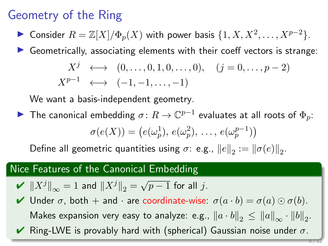► Consider  $R = \mathbb{Z}[X]/\Phi_p(X)$  with power basis  $\{1, X, X^2, \ldots, X^{p-2}\}.$ 

 $\triangleright$  Geometrically, associating elements with their coeff vectors is strange:

$$
X^{j} \longleftrightarrow (0, ..., 0, 1, 0, ..., 0), (j = 0, ..., p - 2)
$$
  

$$
X^{p-1} \longleftrightarrow (-1, -1, ..., -1)
$$

We want a basis-independent geometry.

▶ The canonical embedding  $\sigma\colon R\to\mathbb{C}^{p-1}$  evaluates at all roots of  $\Phi_p\colon$ 

$$
\sigma(e(X)) = (e(\omega_p^1), e(\omega_p^2), \ldots, e(\omega_p^{p-1}))
$$

Define all geometric quantities using  $\sigma$ : e.g.,  $||e||_2 := ||\sigma(e)||_2$ .

#### Nice Features of the Canonical Embedding

$$
\mathbf{V} \ \left\|X^j\right\|_{\infty} = 1 \text{ and } \left\|X^j\right\|_2 = \sqrt{p-1} \text{ for all } j.
$$

 $\blacktriangleright$  Under  $\sigma$ , both  $+$  and  $\cdot$  are coordinate-wise:  $\sigma(a \cdot b) = \sigma(a) \odot \sigma(b)$ . Makes expansion very easy to analyze: e.g.,  $\left\|a\cdot b\right\|_2\leq \left\|a\right\|_\infty\cdot \left\|b\right\|_2$ .  $\vee$  Ring-LWE is provably hard with (spherical) Gaussian noise under  $\sigma$ .

9 / 12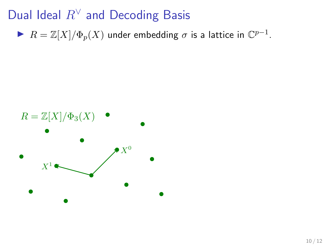$\blacktriangleright$   $R = \mathbb{Z}[X]/\Phi_p(X)$  under embedding  $\sigma$  is a lattice in  $\mathbb{C}^{p-1}$ .

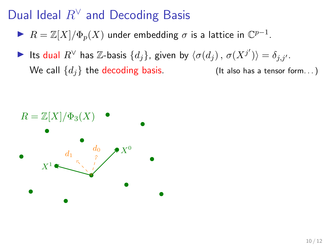- $\blacktriangleright$   $R = \mathbb{Z}[X]/\Phi_p(X)$  under embedding  $\sigma$  is a lattice in  $\mathbb{C}^{p-1}$ .
- ► Its dual  $R^{\vee}$  has  $\mathbb{Z}$ -basis  $\{d_j\}$ , given by  $\langle \sigma(d_j) \, , \, \sigma(X^{j'}) \rangle = \delta_{j,j'}.$ We call  $\{d_i\}$  the decoding basis. (It also has a tensor form...)

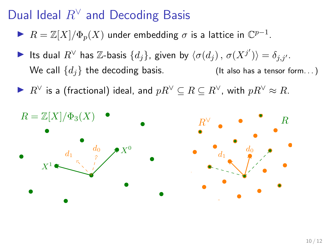- $\blacktriangleright$   $R = \mathbb{Z}[X]/\Phi_p(X)$  under embedding  $\sigma$  is a lattice in  $\mathbb{C}^{p-1}$ .
- ► Its dual  $R^{\vee}$  has  $\mathbb{Z}$ -basis  $\{d_j\}$ , given by  $\langle \sigma(d_j) \, , \, \sigma(X^{j'}) \rangle = \delta_{j,j'}.$ We call  $\{d_i\}$  the decoding basis. (It also has a tensor form...)
- $\blacktriangleright R^{\vee}$  is a (fractional) ideal, and  $pR^{\vee} \subseteq R \subseteq R^{\vee}$ , with  $pR^{\vee} \approx R$ .

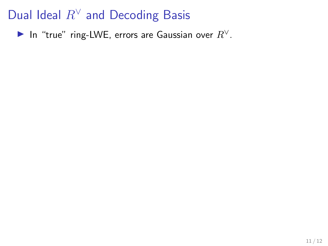In "true" ring-LWE, errors are Gaussian over  $R^{\vee}$ .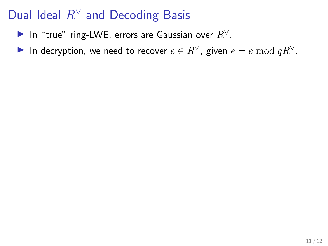- In "true" ring-LWE, errors are Gaussian over  $R^{\vee}$ .
- In decryption, we need to recover  $e \in R^{\vee}$ , given  $\overline{e} = e \mod qR^{\vee}$ .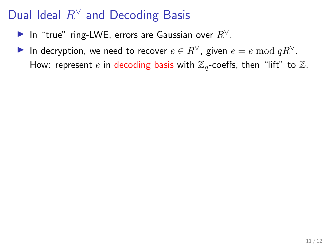- In "true" ring-LWE, errors are Gaussian over  $R^{\vee}$ .
- In decryption, we need to recover  $e \in R^{\vee}$ , given  $\overline{e} = e \mod qR^{\vee}$ . How: represent  $\bar{e}$  in decoding basis with  $\mathbb{Z}_q$ -coeffs, then "lift" to  $\mathbb{Z}$ .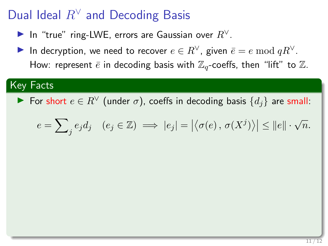- In "true" ring-LWE, errors are Gaussian over  $R^{\vee}$ .
- In decryption, we need to recover  $e \in R^{\vee}$ , given  $\overline{e} = e \mod qR^{\vee}$ . How: represent  $\bar{e}$  in decoding basis with  $\mathbb{Z}_q$ -coeffs, then "lift" to  $\mathbb{Z}$ .

#### Key Facts

For short  $e \in R^{\vee}$  (under σ), coeffs in decoding basis  $\{d_i\}$  are small:

$$
e = \sum_{j} e_j d_j \quad (e_j \in \mathbb{Z}) \implies |e_j| = |\langle \sigma(e), \sigma(X^j) \rangle| \le ||e|| \cdot \sqrt{n}.
$$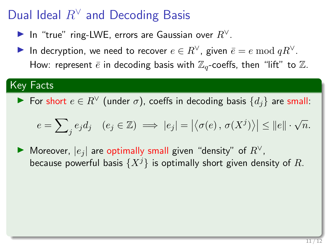- ► In "true" ring-LWE, errors are Gaussian over  $R^{\vee}$ .
- In decryption, we need to recover  $e \in R^{\vee}$ , given  $\overline{e} = e \mod qR^{\vee}$ . How: represent  $\bar{e}$  in decoding basis with  $\mathbb{Z}_q$ -coeffs, then "lift" to  $\mathbb{Z}$ .

#### Key Facts

 $\blacktriangleright$  For short  $e \in R^{\vee}$  (under σ), coeffs in decoding basis  $\{d_i\}$  are small:

$$
e = \sum_{j} e_j d_j \quad (e_j \in \mathbb{Z}) \implies |e_j| = |\langle \sigma(e), \sigma(X^j) \rangle| \le ||e|| \cdot \sqrt{n}.
$$

▶ Moreover,  $|e_i|$  are optimally small given "density" of  $R^{\vee}$ , because powerful basis  $\{X^j\}$  is optimally short given density of R.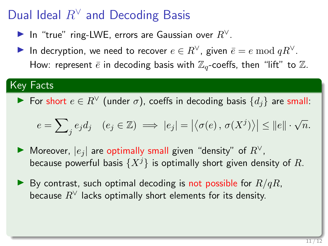- In "true" ring-LWE, errors are Gaussian over  $R^{\vee}$ .
- In decryption, we need to recover  $e \in R^{\vee}$ , given  $\overline{e} = e \mod qR^{\vee}$ . How: represent  $\bar{e}$  in decoding basis with  $\mathbb{Z}_q$ -coeffs, then "lift" to  $\mathbb{Z}$ .

#### Key Facts

 $\blacktriangleright$  For short  $e \in R^{\vee}$  (under σ), coeffs in decoding basis  $\{d_i\}$  are small:

$$
e = \sum_{j} e_j d_j \quad (e_j \in \mathbb{Z}) \implies |e_j| = |\langle \sigma(e), \sigma(X^j) \rangle| \le ||e|| \cdot \sqrt{n}.
$$

- ▶ Moreover,  $|e_i|$  are optimally small given "density" of  $R^{\vee}$ , because powerful basis  $\{X^j\}$  is optimally short given density of R.
- $\blacktriangleright$  By contrast, such optimal decoding is not possible for  $R/qR$ , because  $R^{\vee}$  lacks optimally short elements for its density.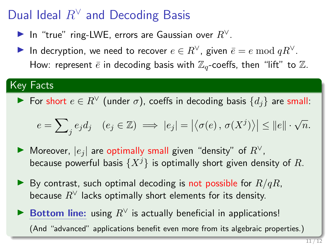- ▶ In "true" ring-LWE, errors are Gaussian over  $R^{\vee}$ .
- In decryption, we need to recover  $e \in R^{\vee}$ , given  $\overline{e} = e \mod qR^{\vee}$ . How: represent  $\bar{e}$  in decoding basis with  $\mathbb{Z}_q$ -coeffs, then "lift" to  $\mathbb{Z}$ .

#### Key Facts

► For short  $e \in R^{\vee}$  (under  $\sigma$ ), coeffs in decoding basis  $\{d_i\}$  are small:

$$
e = \sum_{j} e_j d_j \quad (e_j \in \mathbb{Z}) \implies |e_j| = |\langle \sigma(e), \sigma(X^j) \rangle| \le ||e|| \cdot \sqrt{n}.
$$

- ▶ Moreover,  $|e_i|$  are optimally small given "density" of  $R^{\vee}$ , because powerful basis  $\{X^j\}$  is optimally short given density of R.
- $\blacktriangleright$  By contrast, such optimal decoding is not possible for  $R/qR$ , because  $R^{\vee}$  lacks optimally short elements for its density.
- ► Bottom line: using  $R^{\vee}$  is actually beneficial in applications! (And "advanced" applications benefit even more from its algebraic properties.)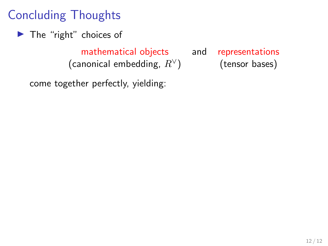$\blacktriangleright$  The "right" choices of

mathematical objects and representations (canonical embedding,  $R^{\vee}$ ) (tensor bases)

come together perfectly, yielding: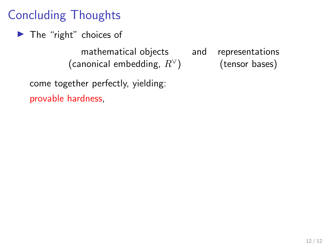$\blacktriangleright$  The "right" choices of

mathematical objects and representations (canonical embedding,  $R^{\vee}$ ) (tensor bases)

come together perfectly, yielding: provable hardness,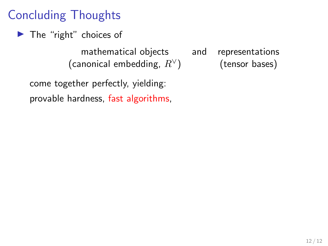$\blacktriangleright$  The "right" choices of

mathematical objects and representations (canonical embedding,  $R^{\vee}$ ) (tensor bases)

come together perfectly, yielding: provable hardness, fast algorithms,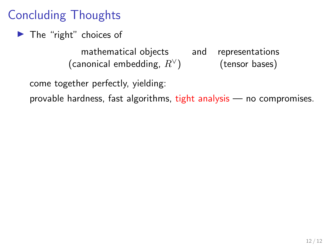$\blacktriangleright$  The "right" choices of

mathematical objects and representations (canonical embedding,  $R^{\vee}$ ) (tensor bases)

come together perfectly, yielding:

provable hardness, fast algorithms, tight analysis — no compromises.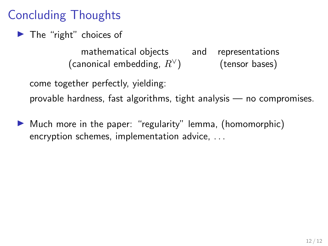$\blacktriangleright$  The "right" choices of

mathematical objects and representations (canonical embedding,  $R^{\vee}$ ) (tensor bases)

come together perfectly, yielding:

provable hardness, fast algorithms, tight analysis — no compromises.

 $\blacktriangleright$  Much more in the paper: "regularity" lemma, (homomorphic) encryption schemes, implementation advice, . . .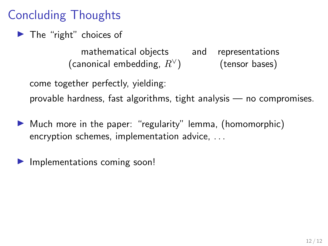$\blacktriangleright$  The "right" choices of

mathematical objects and representations (canonical embedding,  $R^{\vee}$ ) (tensor bases)

come together perfectly, yielding:

provable hardness, fast algorithms, tight analysis — no compromises.

- $\blacktriangleright$  Much more in the paper: "regularity" lemma, (homomorphic) encryption schemes, implementation advice, . . .
- $\blacktriangleright$  Implementations coming soon!